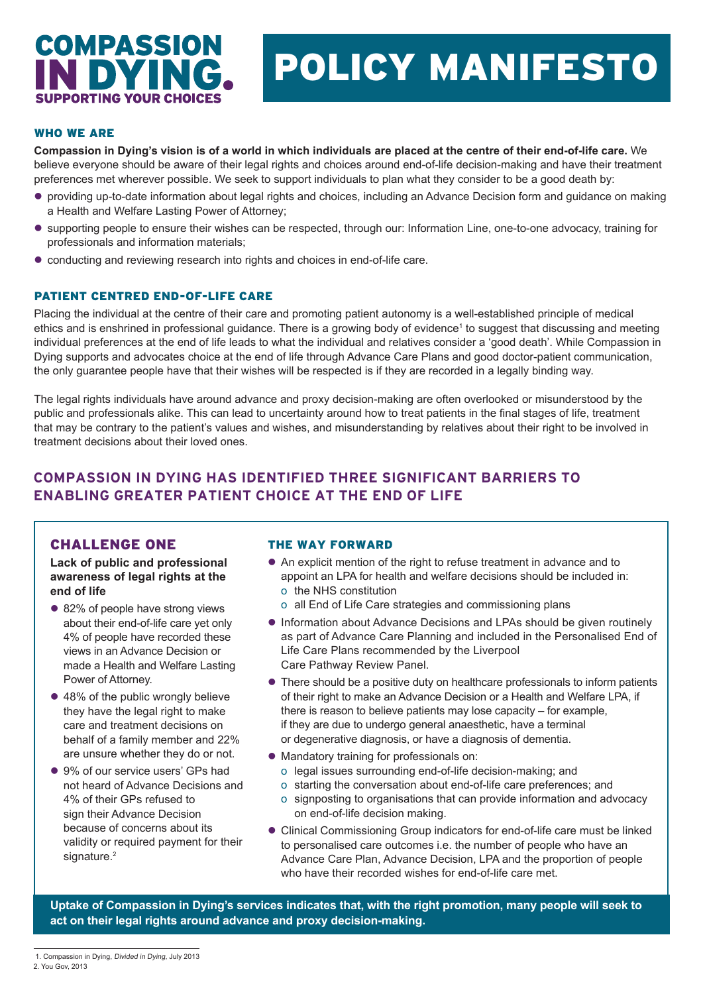# **COMPASSION IDY IPPORTING VOLIR CHOICES**

# POLICY MANIFESTO

#### WHO WE ARE

**Compassion in Dying's vision is of a world in which individuals are placed at the centre of their end-of-life care.** We believe everyone should be aware of their legal rights and choices around end-of-life decision-making and have their treatment preferences met wherever possible. We seek to support individuals to plan what they consider to be a good death by:

- l providing up-to-date information about legal rights and choices, including an Advance Decision form and guidance on making a Health and Welfare Lasting Power of Attorney;
- l supporting people to ensure their wishes can be respected, through our: Information Line, one-to-one advocacy, training for professionals and information materials;
- conducting and reviewing research into rights and choices in end-of-life care.

#### PATIENT CENTRED END-OF-LIFE CARE

Placing the individual at the centre of their care and promoting patient autonomy is a well-established principle of medical ethics and is enshrined in professional guidance. There is a growing body of evidence<sup>1</sup> to suggest that discussing and meeting individual preferences at the end of life leads to what the individual and relatives consider a 'good death'. While Compassion in Dying supports and advocates choice at the end of life through Advance Care Plans and good doctor-patient communication, the only guarantee people have that their wishes will be respected is if they are recorded in a legally binding way.

The legal rights individuals have around advance and proxy decision-making are often overlooked or misunderstood by the public and professionals alike. This can lead to uncertainty around how to treat patients in the final stages of life, treatment that may be contrary to the patient's values and wishes, and misunderstanding by relatives about their right to be involved in treatment decisions about their loved ones.

# **COMPASSION IN DYING HAS IDENTIFIED THREE SIGNIFICANT BARRIERS TO ENABLING GREATER PATIENT CHOICE AT THE END OF LIFE**

## CHALLENGE ONE

**Lack of public and professional awareness of legal rights at the end of life**

- 82% of people have strong views about their end-of-life care yet only 4% of people have recorded these views in an Advance Decision or made a Health and Welfare Lasting Power of Attorney.
- 48% of the public wrongly believe they have the legal right to make care and treatment decisions on behalf of a family member and 22% are unsure whether they do or not.
- 9% of our service users' GPs had not heard of Advance Decisions and 4% of their GPs refused to sign their Advance Decision because of concerns about its validity or required payment for their signature.<sup>2</sup>

#### THE WAY FORWARD

- An explicit mention of the right to refuse treatment in advance and to appoint an LPA for health and welfare decisions should be included in: o the NHS constitution
	- o all End of Life Care strategies and commissioning plans
- **.** Information about Advance Decisions and LPAs should be given routinely as part of Advance Care Planning and included in the Personalised End of Life Care Plans recommended by the Liverpool Care Pathway Review Panel.
- There should be a positive duty on healthcare professionals to inform patients of their right to make an Advance Decision or a Health and Welfare LPA, if there is reason to believe patients may lose capacity – for example, if they are due to undergo general anaesthetic, have a terminal or degenerative diagnosis, or have a diagnosis of dementia.
- $\bullet$  Mandatory training for professionals on:
	- o legal issues surrounding end-of-life decision-making; and
	- o starting the conversation about end-of-life care preferences; and
	- o signposting to organisations that can provide information and advocacy on end-of-life decision making.
- Clinical Commissioning Group indicators for end-of-life care must be linked to personalised care outcomes i.e. the number of people who have an Advance Care Plan, Advance Decision, LPA and the proportion of people who have their recorded wishes for end-of-life care met.

**Uptake of Compassion in Dying's services indicates that, with the right promotion, many people will seek to act on their legal rights around advance and proxy decision-making.**

1. Compassion in Dying, Divided in Dying, July 2013

<sup>2.</sup> You Gov, 2013